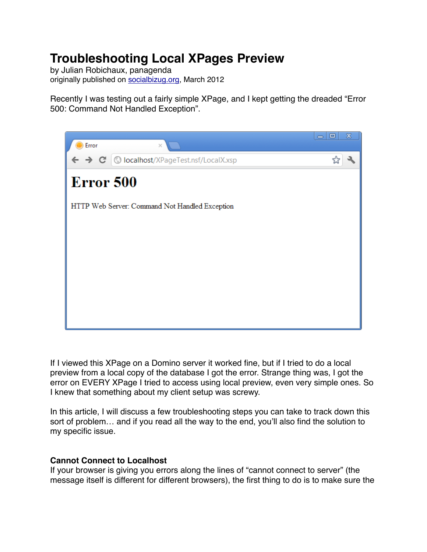# **Troubleshooting Local XPages Preview**

by Julian Robichaux, panagenda originally published on [socialbizug.org](http://socialbizug.org), March 2012

Recently I was testing out a fairly simple XPage, and I kept getting the dreaded "Error 500: Command Not Handled Exception".



If I viewed this XPage on a Domino server it worked fine, but if I tried to do a local preview from a local copy of the database I got the error. Strange thing was, I got the error on EVERY XPage I tried to access using local preview, even very simple ones. So I knew that something about my client setup was screwy.

In this article, I will discuss a few troubleshooting steps you can take to track down this sort of problem… and if you read all the way to the end, you'll also find the solution to my specific issue.

## **Cannot Connect to Localhost**

If your browser is giving you errors along the lines of "cannot connect to server" (the message itself is different for different browsers), the first thing to do is to make sure the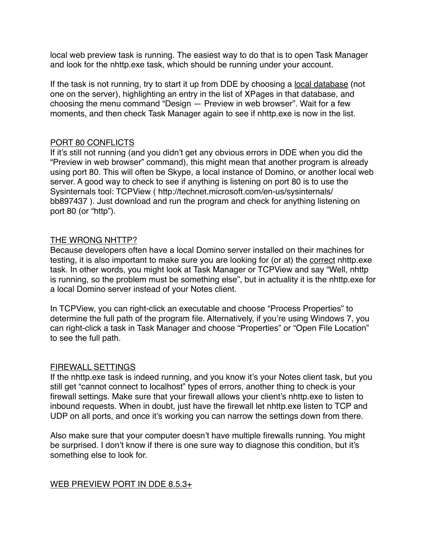local web preview task is running. The easiest way to do that is to open Task Manager and look for the nhttp.exe task, which should be running under your account.

If the task is not running, try to start it up from DDE by choosing a local database (not one on the server), highlighting an entry in the list of XPages in that database, and choosing the menu command "Design — Preview in web browser". Wait for a few moments, and then check Task Manager again to see if nhttp.exe is now in the list.

#### PORT 80 CONFLICTS

If it's still not running (and you didn't get any obvious errors in DDE when you did the "Preview in web browser" command), this might mean that another program is already using port 80. This will often be Skype, a local instance of Domino, or another local web server. A good way to check to see if anything is listening on port 80 is to use the Sysinternals tool: TCPView ( http://technet.microsoft.com/en-us/sysinternals/ bb897437 ). Just download and run the program and check for anything listening on port 80 (or "http").

#### THE WRONG NHTTP?

Because developers often have a local Domino server installed on their machines for testing, it is also important to make sure you are looking for (or at) the correct nhttp.exe task. In other words, you might look at Task Manager or TCPView and say "Well, nhttp is running, so the problem must be something else", but in actuality it is the nhttp.exe for a local Domino server instead of your Notes client.

In TCPView, you can right-click an executable and choose "Process Properties" to determine the full path of the program file. Alternatively, if you're using Windows 7, you can right-click a task in Task Manager and choose "Properties" or "Open File Location" to see the full path.

#### FIREWALL SETTINGS

If the nhttp.exe task is indeed running, and you know it's your Notes client task, but you still get "cannot connect to localhost" types of errors, another thing to check is your firewall settings. Make sure that your firewall allows your client's nhttp.exe to listen to inbound requests. When in doubt, just have the firewall let nhttp.exe listen to TCP and UDP on all ports, and once it's working you can narrow the settings down from there.

Also make sure that your computer doesn't have multiple firewalls running. You might be surprised. I don't know if there is one sure way to diagnose this condition, but it's something else to look for.

WEB PREVIEW PORT IN DDE 8.5.3+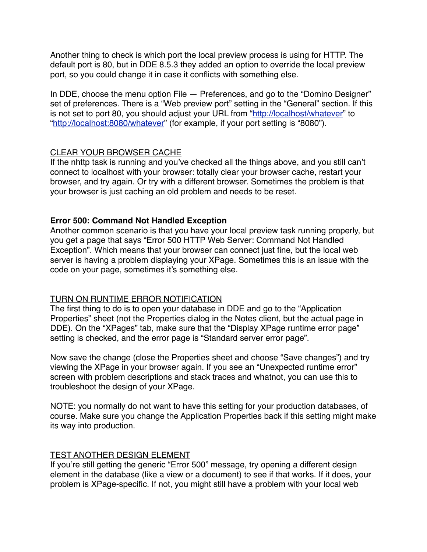Another thing to check is which port the local preview process is using for HTTP. The default port is 80, but in DDE 8.5.3 they added an option to override the local preview port, so you could change it in case it conflicts with something else.

In DDE, choose the menu option File — Preferences, and go to the "Domino Designer" set of preferences. There is a "Web preview port" setting in the "General" section. If this is not set to port 80, you should adjust your URL from ["http://localhost/whatever"](http://localhost/whatever) to "<http://localhost:8080/whatever>" (for example, if your port setting is "8080").

## CLEAR YOUR BROWSER CACHE

If the nhttp task is running and you've checked all the things above, and you still can't connect to localhost with your browser: totally clear your browser cache, restart your browser, and try again. Or try with a different browser. Sometimes the problem is that your browser is just caching an old problem and needs to be reset.

## **Error 500: Command Not Handled Exception**

Another common scenario is that you have your local preview task running properly, but you get a page that says "Error 500 HTTP Web Server: Command Not Handled Exception". Which means that your browser can connect just fine, but the local web server is having a problem displaying your XPage. Sometimes this is an issue with the code on your page, sometimes it's something else.

## TURN ON RUNTIME ERROR NOTIFICATION

The first thing to do is to open your database in DDE and go to the "Application Properties" sheet (not the Properties dialog in the Notes client, but the actual page in DDE). On the "XPages" tab, make sure that the "Display XPage runtime error page" setting is checked, and the error page is "Standard server error page".

Now save the change (close the Properties sheet and choose "Save changes") and try viewing the XPage in your browser again. If you see an "Unexpected runtime error" screen with problem descriptions and stack traces and whatnot, you can use this to troubleshoot the design of your XPage.

NOTE: you normally do not want to have this setting for your production databases, of course. Make sure you change the Application Properties back if this setting might make its way into production.

## TEST ANOTHER DESIGN ELEMENT

If you're still getting the generic "Error 500" message, try opening a different design element in the database (like a view or a document) to see if that works. If it does, your problem is XPage-specific. If not, you might still have a problem with your local web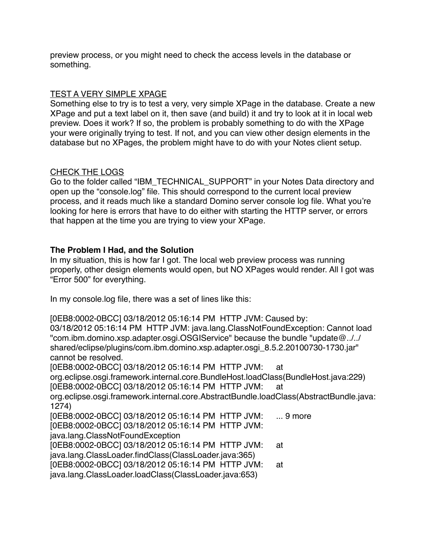preview process, or you might need to check the access levels in the database or something.

## TEST A VERY SIMPLE XPAGE

Something else to try is to test a very, very simple XPage in the database. Create a new XPage and put a text label on it, then save (and build) it and try to look at it in local web preview. Does it work? If so, the problem is probably something to do with the XPage your were originally trying to test. If not, and you can view other design elements in the database but no XPages, the problem might have to do with your Notes client setup.

## CHECK THE LOGS

Go to the folder called "IBM\_TECHNICAL\_SUPPORT" in your Notes Data directory and open up the "console.log" file. This should correspond to the current local preview process, and it reads much like a standard Domino server console log file. What you're looking for here is errors that have to do either with starting the HTTP server, or errors that happen at the time you are trying to view your XPage.

# **The Problem I Had, and the Solution**

In my situation, this is how far I got. The local web preview process was running properly, other design elements would open, but NO XPages would render. All I got was "Error 500" for everything.

In my console.log file, there was a set of lines like this:

[0EB8:0002-0BCC] 03/18/2012 05:16:14 PM HTTP JVM: Caused by: 03/18/2012 05:16:14 PM HTTP JVM: java.lang.ClassNotFoundException: Cannot load "com.ibm.domino.xsp.adapter.osgi.OSGIService" because the bundle "update@../../ shared/eclipse/plugins/com.ibm.domino.xsp.adapter.osgi\_8.5.2.20100730-1730.jar" cannot be resolved. [0EB8:0002-0BCC] 03/18/2012 05:16:14 PM HTTP JVM: at org.eclipse.osgi.framework.internal.core.BundleHost.loadClass(BundleHost.java:229) [0EB8:0002-0BCC] 03/18/2012 05:16:14 PM HTTP JVM: at org.eclipse.osgi.framework.internal.core.AbstractBundle.loadClass(AbstractBundle.java: 1274) [0EB8:0002-0BCC] 03/18/2012 05:16:14 PM HTTP JVM: ... 9 more [0EB8:0002-0BCC] 03/18/2012 05:16:14 PM HTTP JVM: java.lang.ClassNotFoundException

[0EB8:0002-0BCC] 03/18/2012 05:16:14 PM HTTP JVM: at

java.lang.ClassLoader.findClass(ClassLoader.java:365)

[0EB8:0002-0BCC] 03/18/2012 05:16:14 PM HTTP JVM: at

java.lang.ClassLoader.loadClass(ClassLoader.java:653)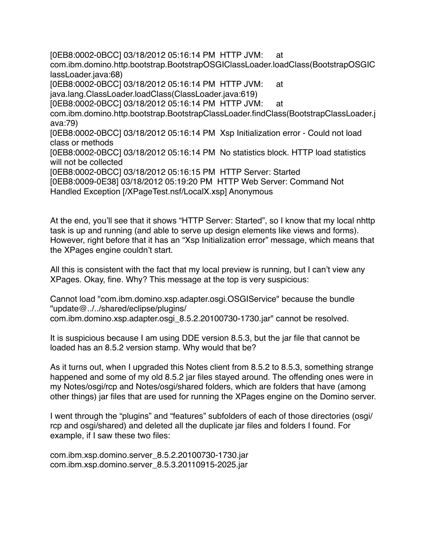[0EB8:0002-0BCC] 03/18/2012 05:16:14 PM HTTP JVM: at com.ibm.domino.http.bootstrap.BootstrapOSGIClassLoader.loadClass(BootstrapOSGIC lassLoader.java:68) [0EB8:0002-0BCC] 03/18/2012 05:16:14 PM HTTP JVM: at java.lang.ClassLoader.loadClass(ClassLoader.java:619) [0EB8:0002-0BCC] 03/18/2012 05:16:14 PM HTTP JVM: at com.ibm.domino.http.bootstrap.BootstrapClassLoader.findClass(BootstrapClassLoader.j ava:79) [0EB8:0002-0BCC] 03/18/2012 05:16:14 PM Xsp Initialization error - Could not load class or methods [0EB8:0002-0BCC] 03/18/2012 05:16:14 PM No statistics block. HTTP load statistics will not be collected [0EB8:0002-0BCC] 03/18/2012 05:16:15 PM HTTP Server: Started [0EB8:0009-0E38] 03/18/2012 05:19:20 PM HTTP Web Server: Command Not Handled Exception [/XPageTest.nsf/LocalX.xsp] Anonymous

At the end, you'll see that it shows "HTTP Server: Started", so I know that my local nhttp task is up and running (and able to serve up design elements like views and forms). However, right before that it has an "Xsp Initialization error" message, which means that the XPages engine couldn't start.

All this is consistent with the fact that my local preview is running, but I can't view any XPages. Okay, fine. Why? This message at the top is very suspicious:

Cannot load "com.ibm.domino.xsp.adapter.osgi.OSGIService" because the bundle "update@../../shared/eclipse/plugins/

com.ibm.domino.xsp.adapter.osgi\_8.5.2.20100730-1730.jar" cannot be resolved.

It is suspicious because I am using DDE version 8.5.3, but the jar file that cannot be loaded has an 8.5.2 version stamp. Why would that be?

As it turns out, when I upgraded this Notes client from 8.5.2 to 8.5.3, something strange happened and some of my old 8.5.2 jar files stayed around. The offending ones were in my Notes/osgi/rcp and Notes/osgi/shared folders, which are folders that have (among other things) jar files that are used for running the XPages engine on the Domino server.

I went through the "plugins" and "features" subfolders of each of those directories (osgi/ rcp and osgi/shared) and deleted all the duplicate jar files and folders I found. For example, if I saw these two files:

com.ibm.xsp.domino.server\_8.5.2.20100730-1730.jar com.ibm.xsp.domino.server\_8.5.3.20110915-2025.jar